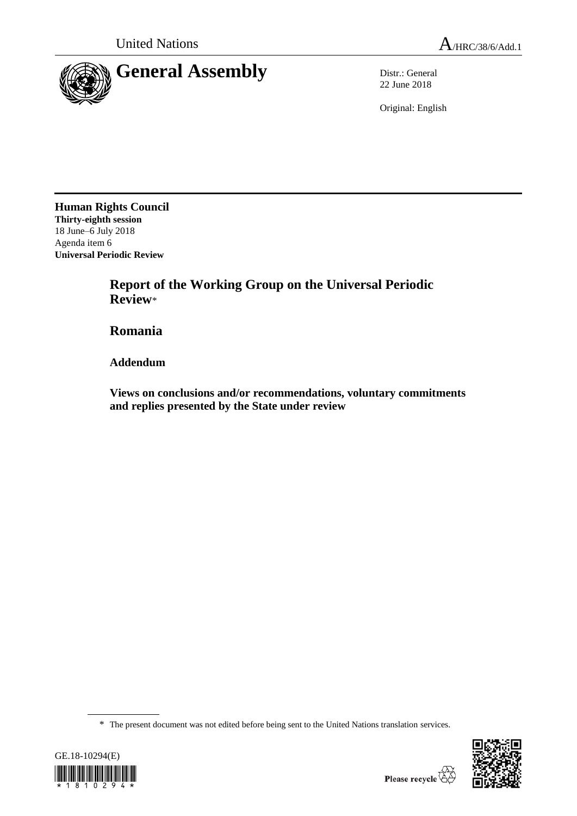

22 June 2018

Original: English

**Human Rights Council Thirty-eighth session** 18 June–6 July 2018 Agenda item 6 **Universal Periodic Review**

> **Report of the Working Group on the Universal Periodic Review**\*

**Romania**

**Addendum**

**Views on conclusions and/or recommendations, voluntary commitments and replies presented by the State under review**

\* The present document was not edited before being sent to the United Nations translation services.



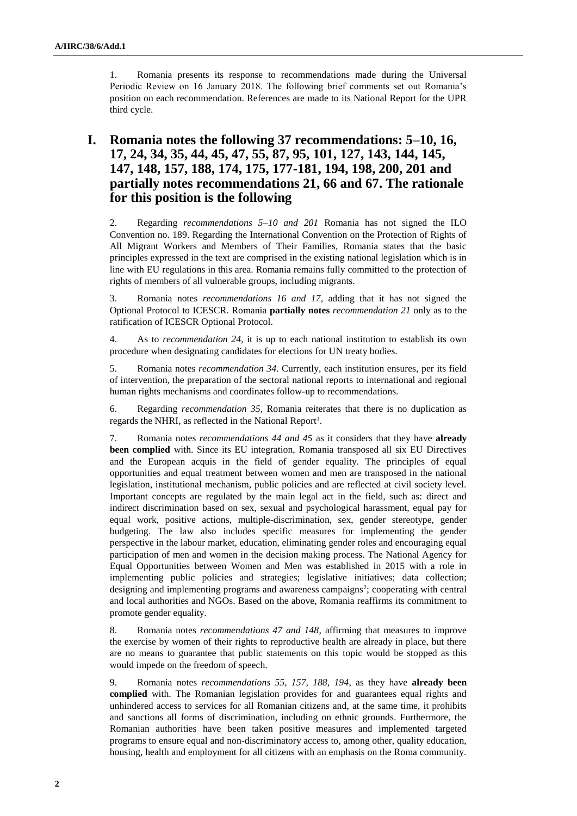1. Romania presents its response to recommendations made during the Universal Periodic Review on 16 January 2018. The following brief comments set out Romania's position on each recommendation. References are made to its National Report for the UPR third cycle.

## **I. Romania notes the following 37 recommendations: 5–10, 16, 17, 24, 34, 35, 44, 45, 47, 55, 87, 95, 101, 127, 143, 144, 145, 147, 148, 157, 188, 174, 175, 177-181, 194, 198, 200, 201 and partially notes recommendations 21, 66 and 67. The rationale for this position is the following**

2. Regarding *recommendations 5–10 and 201* Romania has not signed the ILO Convention no. 189. Regarding the International Convention on the Protection of Rights of All Migrant Workers and Members of Their Families, Romania states that the basic principles expressed in the text are comprised in the existing national legislation which is in line with EU regulations in this area. Romania remains fully committed to the protection of rights of members of all vulnerable groups, including migrants.

3. Romania notes *recommendations 16 and 17*, adding that it has not signed the Optional Protocol to ICESCR. Romania **partially notes** *recommendation 21* only as to the ratification of ICESCR Optional Protocol.

4. As to *recommendation 24*, it is up to each national institution to establish its own procedure when designating candidates for elections for UN treaty bodies.

5. Romania notes *recommendation 34*. Currently, each institution ensures, per its field of intervention, the preparation of the sectoral national reports to international and regional human rights mechanisms and coordinates follow-up to recommendations.

6. Regarding *recommendation 35*, Romania reiterates that there is no duplication as regards the NHRI, as reflected in the National Report<sup>1</sup>.

7. Romania notes *recommendations 44 and 45* as it considers that they have **already been complied** with. Since its EU integration, Romania transposed all six EU Directives and the European acquis in the field of gender equality. The principles of equal opportunities and equal treatment between women and men are transposed in the national legislation, institutional mechanism, public policies and are reflected at civil society level. Important concepts are regulated by the main legal act in the field, such as: direct and indirect discrimination based on sex, sexual and psychological harassment, equal pay for equal work, positive actions, multiple-discrimination, sex, gender stereotype, gender budgeting. The law also includes specific measures for implementing the gender perspective in the labour market, education, eliminating gender roles and encouraging equal participation of men and women in the decision making process. The National Agency for Equal Opportunities between Women and Men was established in 2015 with a role in implementing public policies and strategies; legislative initiatives; data collection; designing and implementing programs and awareness campaigns<sup>2</sup>; cooperating with central and local authorities and NGOs. Based on the above, Romania reaffirms its commitment to promote gender equality.

8. Romania notes *recommendations 47 and 148*, affirming that measures to improve the exercise by women of their rights to reproductive health are already in place, but there are no means to guarantee that public statements on this topic would be stopped as this would impede on the freedom of speech.

9. Romania notes *recommendations 55, 157, 188, 194*, as they have **already been complied** with. The Romanian legislation provides for and guarantees equal rights and unhindered access to services for all Romanian citizens and, at the same time, it prohibits and sanctions all forms of discrimination, including on ethnic grounds. Furthermore, the Romanian authorities have been taken positive measures and implemented targeted programs to ensure equal and non-discriminatory access to, among other, quality education, housing, health and employment for all citizens with an emphasis on the Roma community.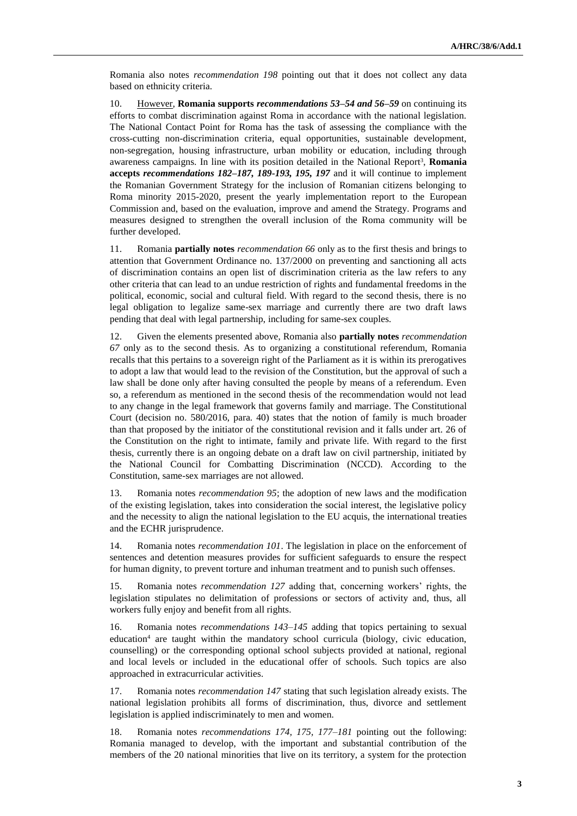Romania also notes *recommendation 198* pointing out that it does not collect any data based on ethnicity criteria.

10. However, **Romania supports** *recommendations 53–54 and 56–59* on continuing its efforts to combat discrimination against Roma in accordance with the national legislation. The National Contact Point for Roma has the task of assessing the compliance with the cross-cutting non-discrimination criteria, equal opportunities, sustainable development, non-segregation, housing infrastructure, urban mobility or education, including through awareness campaigns. In line with its position detailed in the National Report<sup>3</sup>, **Romania accepts** *recommendations 182–187, 189-193, 195, 197* and it will continue to implement the Romanian Government Strategy for the inclusion of Romanian citizens belonging to Roma minority 2015-2020, present the yearly implementation report to the European Commission and, based on the evaluation, improve and amend the Strategy. Programs and measures designed to strengthen the overall inclusion of the Roma community will be further developed.

11. Romania **partially notes** *recommendation 66* only as to the first thesis and brings to attention that Government Ordinance no. 137/2000 on preventing and sanctioning all acts of discrimination contains an open list of discrimination criteria as the law refers to any other criteria that can lead to an undue restriction of rights and fundamental freedoms in the political, economic, social and cultural field. With regard to the second thesis, there is no legal obligation to legalize same-sex marriage and currently there are two draft laws pending that deal with legal partnership, including for same-sex couples.

12. Given the elements presented above, Romania also **partially notes** *recommendation 67* only as to the second thesis. As to organizing a constitutional referendum, Romania recalls that this pertains to a sovereign right of the Parliament as it is within its prerogatives to adopt a law that would lead to the revision of the Constitution, but the approval of such a law shall be done only after having consulted the people by means of a referendum. Even so, a referendum as mentioned in the second thesis of the recommendation would not lead to any change in the legal framework that governs family and marriage. The Constitutional Court (decision no. 580/2016, para. 40) states that the notion of family is much broader than that proposed by the initiator of the constitutional revision and it falls under art. 26 of the Constitution on the right to intimate, family and private life. With regard to the first thesis, currently there is an ongoing debate on a draft law on civil partnership, initiated by the National Council for Combatting Discrimination (NCCD). According to the Constitution, same-sex marriages are not allowed.

13. Romania notes *recommendation 95*; the adoption of new laws and the modification of the existing legislation, takes into consideration the social interest, the legislative policy and the necessity to align the national legislation to the EU acquis, the international treaties and the ECHR jurisprudence.

14. Romania notes *recommendation 101*. The legislation in place on the enforcement of sentences and detention measures provides for sufficient safeguards to ensure the respect for human dignity, to prevent torture and inhuman treatment and to punish such offenses.

Romania notes *recommendation 127* adding that, concerning workers' rights, the legislation stipulates no delimitation of professions or sectors of activity and, thus, all workers fully enjoy and benefit from all rights.

16. Romania notes *recommendations 143–145* adding that topics pertaining to sexual education<sup>4</sup> are taught within the mandatory school curricula (biology, civic education, counselling) or the corresponding optional school subjects provided at national, regional and local levels or included in the educational offer of schools. Such topics are also approached in extracurricular activities.

17. Romania notes *recommendation 147* stating that such legislation already exists. The national legislation prohibits all forms of discrimination, thus, divorce and settlement legislation is applied indiscriminately to men and women.

18. Romania notes *recommendations 174, 175, 177–181* pointing out the following: Romania managed to develop, with the important and substantial contribution of the members of the 20 national minorities that live on its territory, a system for the protection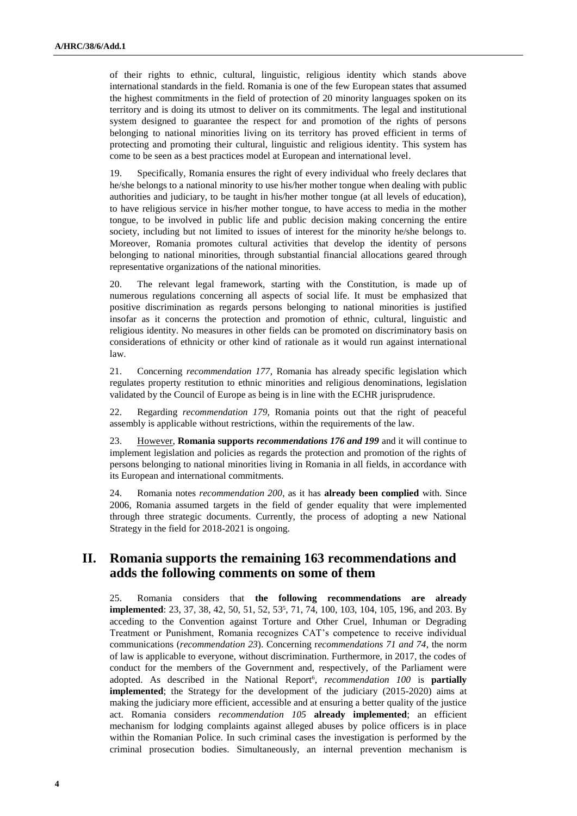of their rights to ethnic, cultural, linguistic, religious identity which stands above international standards in the field. Romania is one of the few European states that assumed the highest commitments in the field of protection of 20 minority languages spoken on its territory and is doing its utmost to deliver on its commitments. The legal and institutional system designed to guarantee the respect for and promotion of the rights of persons belonging to national minorities living on its territory has proved efficient in terms of protecting and promoting their cultural, linguistic and religious identity. This system has come to be seen as a best practices model at European and international level.

Specifically, Romania ensures the right of every individual who freely declares that he/she belongs to a national minority to use his/her mother tongue when dealing with public authorities and judiciary, to be taught in his/her mother tongue (at all levels of education), to have religious service in his/her mother tongue, to have access to media in the mother tongue, to be involved in public life and public decision making concerning the entire society, including but not limited to issues of interest for the minority he/she belongs to. Moreover, Romania promotes cultural activities that develop the identity of persons belonging to national minorities, through substantial financial allocations geared through representative organizations of the national minorities.

20. The relevant legal framework, starting with the Constitution, is made up of numerous regulations concerning all aspects of social life. It must be emphasized that positive discrimination as regards persons belonging to national minorities is justified insofar as it concerns the protection and promotion of ethnic, cultural, linguistic and religious identity. No measures in other fields can be promoted on discriminatory basis on considerations of ethnicity or other kind of rationale as it would run against international law.

21. Concerning *recommendation 177*, Romania has already specific legislation which regulates property restitution to ethnic minorities and religious denominations, legislation validated by the Council of Europe as being is in line with the ECHR jurisprudence.

22. Regarding *recommendation 179,* Romania points out that the right of peaceful assembly is applicable without restrictions, within the requirements of the law.

23. However, **Romania supports** *recommendations 176 and 199* and it will continue to implement legislation and policies as regards the protection and promotion of the rights of persons belonging to national minorities living in Romania in all fields, in accordance with its European and international commitments.

24. Romania notes *recommendation 200*, as it has **already been complied** with. Since 2006, Romania assumed targets in the field of gender equality that were implemented through three strategic documents. Currently, the process of adopting a new National Strategy in the field for 2018-2021 is ongoing.

## **II. Romania supports the remaining 163 recommendations and adds the following comments on some of them**

25. Romania considers that **the following recommendations are already implemented**: 23, 37, 38, 42, 50, 51, 52, 53<sup>5</sup>, 71, 74, 100, 103, 104, 105, 196, and 203. By acceding to the Convention against Torture and Other Cruel, Inhuman or Degrading Treatment or Punishment, Romania recognizes CAT's competence to receive individual communications (*recommendation 23*). Concerning r*ecommendations 71 and 74*, the norm of law is applicable to everyone, without discrimination. Furthermore, in 2017, the codes of conduct for the members of the Government and, respectively, of the Parliament were adopted. As described in the National Report<sup>6</sup>, *recommendation 100* is **partially implemented**; the Strategy for the development of the judiciary (2015-2020) aims at making the judiciary more efficient, accessible and at ensuring a better quality of the justice act. Romania considers *recommendation 105* **already implemented**; an efficient mechanism for lodging complaints against alleged abuses by police officers is in place within the Romanian Police. In such criminal cases the investigation is performed by the criminal prosecution bodies. Simultaneously, an internal prevention mechanism is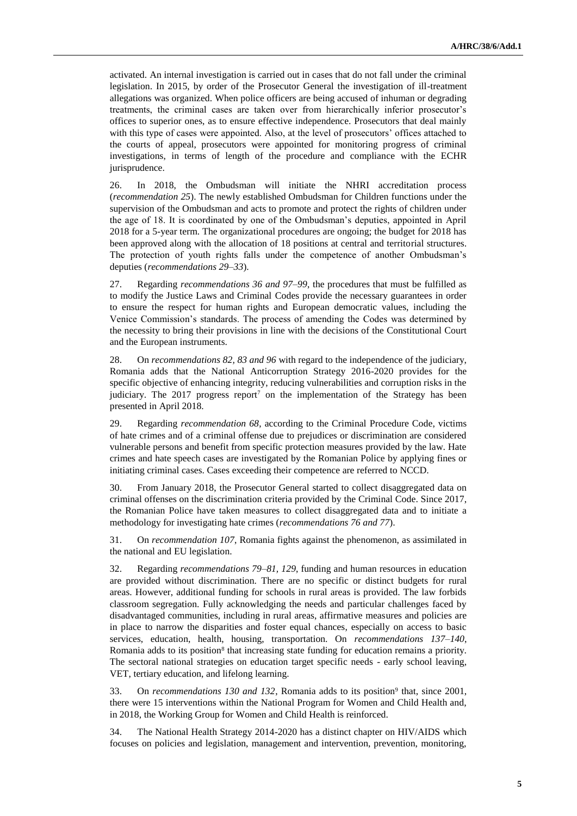activated. An internal investigation is carried out in cases that do not fall under the criminal legislation. In 2015, by order of the Prosecutor General the investigation of ill-treatment allegations was organized. When police officers are being accused of inhuman or degrading treatments, the criminal cases are taken over from hierarchically inferior prosecutor's offices to superior ones, as to ensure effective independence. Prosecutors that deal mainly with this type of cases were appointed. Also, at the level of prosecutors' offices attached to the courts of appeal, prosecutors were appointed for monitoring progress of criminal investigations, in terms of length of the procedure and compliance with the ECHR jurisprudence.

26. In 2018, the Ombudsman will initiate the NHRI accreditation process (*recommendation 25*). The newly established Ombudsman for Children functions under the supervision of the Ombudsman and acts to promote and protect the rights of children under the age of 18. It is coordinated by one of the Ombudsman's deputies, appointed in April 2018 for a 5-year term. The organizational procedures are ongoing; the budget for 2018 has been approved along with the allocation of 18 positions at central and territorial structures. The protection of youth rights falls under the competence of another Ombudsman's deputies (*recommendations 29–33*).

27. Regarding *recommendations 36 and 97–99*, the procedures that must be fulfilled as to modify the Justice Laws and Criminal Codes provide the necessary guarantees in order to ensure the respect for human rights and European democratic values, including the Venice Commission's standards. The process of amending the Codes was determined by the necessity to bring their provisions in line with the decisions of the Constitutional Court and the European instruments.

28. On *recommendations 82, 83 and 96* with regard to the independence of the judiciary, Romania adds that the National Anticorruption Strategy 2016-2020 provides for the specific objective of enhancing integrity, reducing vulnerabilities and corruption risks in the judiciary. The 2017 progress report<sup>7</sup> on the implementation of the Strategy has been presented in April 2018.

29. Regarding *recommendation 68*, according to the Criminal Procedure Code, victims of hate crimes and of a criminal offense due to prejudices or discrimination are considered vulnerable persons and benefit from specific protection measures provided by the law. Hate crimes and hate speech cases are investigated by the Romanian Police by applying fines or initiating criminal cases. Cases exceeding their competence are referred to NCCD.

30. From January 2018, the Prosecutor General started to collect disaggregated data on criminal offenses on the discrimination criteria provided by the Criminal Code. Since 2017, the Romanian Police have taken measures to collect disaggregated data and to initiate a methodology for investigating hate crimes (*recommendations 76 and 77*).

31. On *recommendation 107*, Romania fights against the phenomenon, as assimilated in the national and EU legislation.

32. Regarding *recommendations 79–81, 129*, funding and human resources in education are provided without discrimination. There are no specific or distinct budgets for rural areas. However, additional funding for schools in rural areas is provided. The law forbids classroom segregation. Fully acknowledging the needs and particular challenges faced by disadvantaged communities, including in rural areas, affirmative measures and policies are in place to narrow the disparities and foster equal chances, especially on access to basic services, education, health, housing, transportation. On *recommendations 137–140*, Romania adds to its position<sup>8</sup> that increasing state funding for education remains a priority. The sectoral national strategies on education target specific needs - early school leaving, VET, tertiary education, and lifelong learning.

33. On *recommendations 130 and 132*, Romania adds to its position<sup>9</sup> that, since 2001, there were 15 interventions within the National Program for Women and Child Health and, in 2018, the Working Group for Women and Child Health is reinforced.

34. The National Health Strategy 2014-2020 has a distinct chapter on HIV/AIDS which focuses on policies and legislation, management and intervention, prevention, monitoring,